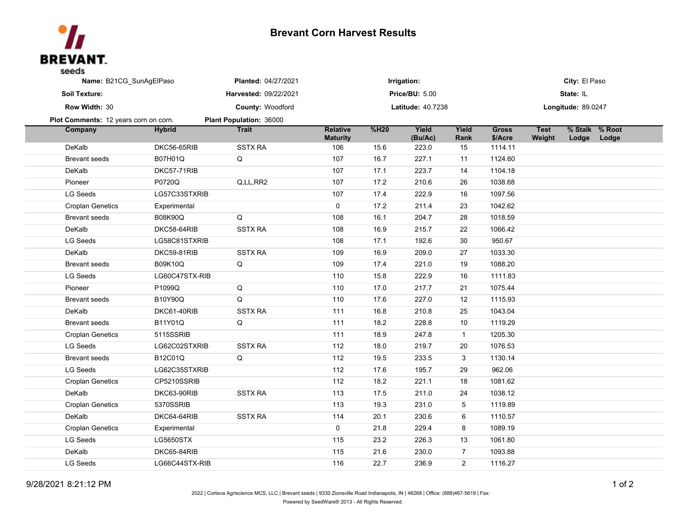

## **Brevant Corn Harvest Results**

| Name: B21CG_SunAgElPaso               |                  | <b>Planted: 04/27/2021</b> | Irrigation:                        |      |                  |                | City: El Paso           |                       |             |                |  |
|---------------------------------------|------------------|----------------------------|------------------------------------|------|------------------|----------------|-------------------------|-----------------------|-------------|----------------|--|
| Soil Texture:                         |                  | Harvested: 09/22/2021      | <b>Price/BU: 5.00</b>              |      |                  |                | State: IL               |                       |             |                |  |
| Row Width: 30                         |                  | County: Woodford           | <b>Latitude: 40.7238</b>           |      |                  |                | Longitude: 89.0247      |                       |             |                |  |
| Plot Comments: 12 years corn on corn. |                  | Plant Population: 36000    |                                    |      |                  |                |                         |                       |             |                |  |
| Company                               | <b>Hybrid</b>    | <b>Trait</b>               | <b>Relative</b><br><b>Maturity</b> | %H20 | Yield<br>(Bu/Ac) | Yield<br>Rank  | <b>Gross</b><br>\$/Acre | <b>Test</b><br>Weight | Lodge Lodge | % Stalk % Root |  |
| DeKalb                                | DKC56-65RIB      | <b>SSTX RA</b>             | 106                                | 15.6 | 223.0            | 15             | 1114.11                 |                       |             |                |  |
| <b>Brevant seeds</b>                  | B07H01Q          | Q                          | 107                                | 16.7 | 227.1            | 11             | 1124.60                 |                       |             |                |  |
| DeKalb                                | DKC57-71RIB      |                            | 107                                | 17.1 | 223.7            | 14             | 1104.18                 |                       |             |                |  |
| Pioneer                               | P0720Q           | Q,LL,RR2                   | 107                                | 17.2 | 210.6            | 26             | 1038.68                 |                       |             |                |  |
| LG Seeds                              | LG57C33STXRIB    |                            | 107                                | 17.4 | 222.9            | 16             | 1097.56                 |                       |             |                |  |
| <b>Croplan Genetics</b>               | Experimental     |                            | 0                                  | 17.2 | 211.4            | 23             | 1042.62                 |                       |             |                |  |
| <b>Brevant seeds</b>                  | <b>B08K90Q</b>   | Q                          | 108                                | 16.1 | 204.7            | 28             | 1018.59                 |                       |             |                |  |
| DeKalb                                | DKC58-64RIB      | <b>SSTX RA</b>             | 108                                | 16.9 | 215.7            | 22             | 1066.42                 |                       |             |                |  |
| LG Seeds                              | LG58C81STXRIB    |                            | 108                                | 17.1 | 192.6            | 30             | 950.67                  |                       |             |                |  |
| DeKalb                                | DKC59-81RIB      | <b>SSTX RA</b>             | 109                                | 16.9 | 209.0            | 27             | 1033.30                 |                       |             |                |  |
| <b>Brevant seeds</b>                  | <b>B09K10Q</b>   | Q                          | 109                                | 17.4 | 221.0            | 19             | 1088.20                 |                       |             |                |  |
| LG Seeds                              | LG60C47STX-RIB   |                            | 110                                | 15.8 | 222.9            | 16             | 1111.83                 |                       |             |                |  |
| Pioneer                               | P1099Q           | Q                          | 110                                | 17.0 | 217.7            | 21             | 1075.44                 |                       |             |                |  |
| Brevant seeds                         | B10Y90Q          | Q                          | 110                                | 17.6 | 227.0            | 12             | 1115.93                 |                       |             |                |  |
| DeKalb                                | DKC61-40RIB      | <b>SSTX RA</b>             | 111                                | 16.8 | 210.8            | 25             | 1043.04                 |                       |             |                |  |
| Brevant seeds                         | B11Y01Q          | Q                          | 111                                | 18.2 | 228.8            | 10             | 1119.29                 |                       |             |                |  |
| <b>Croplan Genetics</b>               | 5115SSRIB        |                            | 111                                | 18.9 | 247.8            | $\mathbf{1}$   | 1205.30                 |                       |             |                |  |
| LG Seeds                              | LG62C02STXRIB    | <b>SSTX RA</b>             | 112                                | 18.0 | 219.7            | 20             | 1076.53                 |                       |             |                |  |
| <b>Brevant seeds</b>                  | B12C01Q          | Q                          | 112                                | 19.5 | 233.5            | 3              | 1130.14                 |                       |             |                |  |
| LG Seeds                              | LG62C35STXRIB    |                            | 112                                | 17.6 | 195.7            | 29             | 962.06                  |                       |             |                |  |
| <b>Croplan Genetics</b>               | CP5210SSRIB      |                            | 112                                | 18.2 | 221.1            | 18             | 1081.62                 |                       |             |                |  |
| DeKalb                                | DKC63-90RIB      | <b>SSTX RA</b>             | 113                                | 17.5 | 211.0            | 24             | 1038.12                 |                       |             |                |  |
| <b>Croplan Genetics</b>               | 5370SSRIB        |                            | 113                                | 19.3 | 231.0            | 5              | 1119.89                 |                       |             |                |  |
| DeKalb                                | DKC64-64RIB      | <b>SSTX RA</b>             | 114                                | 20.1 | 230.6            | 6              | 1110.57                 |                       |             |                |  |
| <b>Croplan Genetics</b>               | Experimental     |                            | $\mathsf{O}$                       | 21.8 | 229.4            | 8              | 1089.19                 |                       |             |                |  |
| LG Seeds                              | <b>LG5650STX</b> |                            | 115                                | 23.2 | 226.3            | 13             | 1061.80                 |                       |             |                |  |
| DeKalb                                | DKC65-84RIB      |                            | 115                                | 21.6 | 230.0            | $\overline{7}$ | 1093.88                 |                       |             |                |  |
| LG Seeds                              | LG66C44STX-RIB   |                            | 116                                | 22.7 | 236.9            | $\overline{2}$ | 1116.27                 |                       |             |                |  |